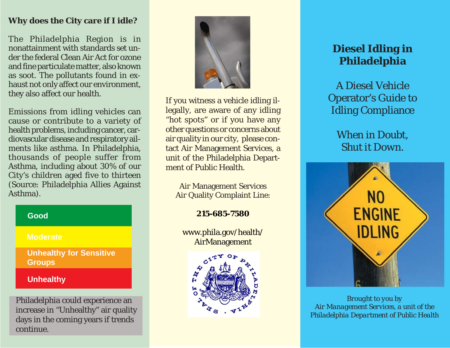## **Why does the City care if I idle?**

The Philadelphia Region is in nonattainment with standards set under the federal Clean Air Act for ozone and fine particulate matter, also known as soot. The pollutants found in exhaust not only affect our environment, they also affect our health.

Emissions from idling vehicles can cause or contribute to a variety of health problems, including cancer, cardiovascular disease and respiratory ailments like asthma. In Philadelphia, thousands of people suffer from Asthma, including about 30% of our City's children aged five to thirteen (Source: Philadelphia Allies Against Asthma).

| Good                                            |
|-------------------------------------------------|
| <b>Moderate</b>                                 |
| <b>Unhealthy for Sensitive</b><br><b>Groups</b> |
| <b>Unhealthy</b>                                |
|                                                 |

Philadelphia could experience an increase in "Unhealthy" air quality days in the coming years if trends continue.



If you witness a vehicle idling illegally, are aware of any idling "hot spots" or if you have any other questions or concerns about air quality in our city, please contact Air Management Services, a unit of the Philadelphia Department of Public Health

Air Management Services Air Quality Complaint Line:

**215-685-7580**

www.phila.gov/health/ AirManagement



# **Diesel Idling in Philadelphia**

A Diesel Vehicle Operator's Guide to Idling Compliance

> *When in Doubt, Shut it Down.*



*Brought to you by Air Management Services, a unit of the Philadelphia Department of Public Health*